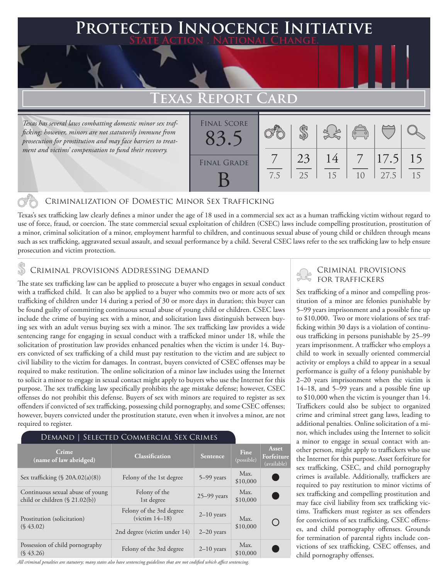## **Protected Innocence Initiative State Action . National Change.**

# **TEXAS**

*Texas has several laws combatting domestic minor sex trafficking; however, minors are not statutorily immune from prosecution for prostitution and may face barriers to treatment and victims' compensation to fund their recovery.* 

| KEPUKI CAKD        |     |          |          |                                                |               |          |  |  |
|--------------------|-----|----------|----------|------------------------------------------------|---------------|----------|--|--|
| <b>FINAL SCORE</b> |     |          |          | $\begin{pmatrix} 0 & 0 \\ 0 & 0 \end{pmatrix}$ |               |          |  |  |
| <b>FINAL GRADE</b> | 7.5 | 23<br>25 | 14<br>15 | 1 <sub>0</sub>                                 | 17.5 <br>27.5 | 15<br>15 |  |  |

### Criminalization of Domestic Minor Sex Trafficking

Texas's sex trafficking law clearly defines a minor under the age of 18 used in a commercial sex act as a human trafficking victim without regard to use of force, fraud, or coercion. The state commercial sexual exploitation of children (CSEC) laws include compelling prostitution, prostitution of a minor, criminal solicitation of a minor, employment harmful to children, and continuous sexual abuse of young child or children through means such as sex trafficking, aggravated sexual assault, and sexual performance by a child. Several CSEC laws refer to the sex trafficking law to help ensure prosecution and victim protection.

### Criminal provisions Addressing demand

The state sex trafficking law can be applied to prosecute a buyer who engages in sexual conduct with a trafficked child. It can also be applied to a buyer who commits two or more acts of sex trafficking of children under 14 during a period of 30 or more days in duration; this buyer can be found guilty of committing continuous sexual abuse of young child or children. CSEC laws include the crime of buying sex with a minor, and solicitation laws distinguish between buying sex with an adult versus buying sex with a minor. The sex trafficking law provides a wide sentencing range for engaging in sexual conduct with a trafficked minor under 18, while the solicitation of prostitution law provides enhanced penalties when the victim is under 14. Buyers convicted of sex trafficking of a child must pay restitution to the victim and are subject to civil liability to the victim for damages. In contrast, buyers convicted of CSEC offenses may be required to make restitution. The online solicitation of a minor law includes using the Internet to solicit a minor to engage in sexual contact might apply to buyers who use the Internet for this purpose. The sex trafficking law specifically prohibits the age mistake defense; however, CSEC offenses do not prohibit this defense. Buyers of sex with minors are required to register as sex offenders if convicted of sex trafficking, possessing child pornography, and some CSEC offenses; however, buyers convicted under the prostitution statute, even when it involves a minor, are not required to register.

#### Demand | Selected Commercial Sex Crimes

| Crime<br>(name of law abridged)                                       | <b>Classification</b>                        | <b>Sentence</b> | Fine<br>(possible) | Asset<br>Forfeiture<br>(available) |
|-----------------------------------------------------------------------|----------------------------------------------|-----------------|--------------------|------------------------------------|
| Sex trafficking $(\S$ 20A.02(a)(8))                                   | Felony of the 1st degree                     | $5-99$ years    | Max.<br>\$10,000   |                                    |
| Continuous sexual abuse of young<br>child or children $(\S 21.02(b))$ | Felony of the<br>1st degree                  | $25-99$ years   | Max.<br>\$10,000   |                                    |
| Prostitution (solicitation)<br>$(S\,43.02)$                           | Felony of the 3rd degree<br>$(victim 14-18)$ | $2-10$ years    | Max.               |                                    |
|                                                                       | 2nd degree (victim under 14)                 | $2-20$ years    | \$10,000           |                                    |
| Possession of child pornography<br>$(S\,43.26)$                       | Felony of the 3rd degree                     | $2-10$ years    | Max.<br>\$10,000   |                                    |

*All criminal penalties are statutory; many states also have sentencing guidelines that are not codified which affect sentencing.* 

#### Criminal provisions for traffickers

Sex trafficking of a minor and compelling prostitution of a minor are felonies punishable by 5–99 years imprisonment and a possible fine up to \$10,000. Two or more violations of sex trafficking within 30 days is a violation of continuous trafficking in persons punishable by 25–99 years imprisonment. A trafficker who employs a child to work in sexually oriented commercial activity or employs a child to appear in a sexual performance is guilty of a felony punishable by 2–20 years imprisonment when the victim is 14–18, and 5–99 years and a possible fine up to \$10,000 when the victim is younger than 14. Traffickers could also be subject to organized crime and criminal street gang laws, leading to additional penalties. Online solicitation of a minor, which includes using the Internet to solicit a minor to engage in sexual contact with another person, might apply to traffickers who use the Internet for this purpose. Asset forfeiture for sex trafficking, CSEC, and child pornography crimes is available. Additionally, traffickers are required to pay restitution to minor victims of sex trafficking and compelling prostitution and may face civil liability from sex trafficking victims. Traffickers must register as sex offenders for convictions of sex trafficking, CSEC offenses, and child pornography offenses. Grounds for termination of parental rights include convictions of sex trafficking, CSEC offenses, and child pornography offenses.